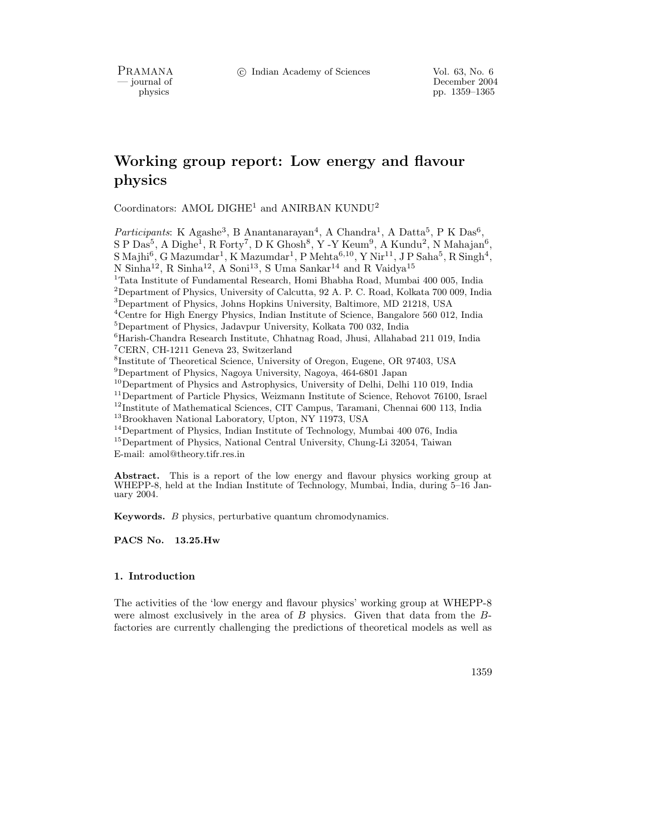PRAMANA <sup>6</sup> © Indian Academy of Sciences Vol. 63, No. 6<br>
— journal of December 2004

physics<br>
and the physics<br>  $\frac{1359-1365}{p}$ pp. 1359–1365

# Working group report: Low energy and flavour physics

Coordinators: AMOL DIGHE<sup>1</sup> and ANIRBAN KUNDU<sup>2</sup>

Participants: K Agashe<sup>3</sup>, B Anantanarayan<sup>4</sup>, A Chandra<sup>1</sup>, A Datta<sup>5</sup>, P K Das<sup>6</sup>,  $S$  P Das<sup>5</sup>, A Dighe<sup>1</sup>, R Forty<sup>7</sup>, D K Ghosh<sup>8</sup>, Y -Y Keum<sup>9</sup>, A Kundu<sup>2</sup>, N Mahajan<sup>6</sup>,  $\mathrm{S\,Maini}^6, \mathrm{G\,Maxumdar}^1, \mathrm{K\,Maxumdar}^1, \mathrm{P\,Mehta}^{6,10}, \mathrm{Y\,Nir}^{11}, \mathrm{J\,P\,Saha}^5, \mathrm{R\,Singh}^4,$ N Sinha $^{12}$ , R Sinha $^{12}$ , A Soni $^{13}$ , S Uma Sankar $^{14}$  and R Vaidya $^{15}$ Tata Institute of Fundamental Research, Homi Bhabha Road, Mumbai 400 005, India Department of Physics, University of Calcutta, 92 A. P. C. Road, Kolkata 700 009, India Department of Physics, Johns Hopkins University, Baltimore, MD 21218, USA Centre for High Energy Physics, Indian Institute of Science, Bangalore 560 012, India Department of Physics, Jadavpur University, Kolkata 700 032, India  ${}^{6}$ Harish-Chandra Research Institute, Chhatnag Road, Jhusi, Allahabad 211 019, India  ${\rm ^7CERN},$  CH-1211 Geneva 23, Switzerland Institute of Theoretical Science, University of Oregon, Eugene, OR 97403, USA Department of Physics, Nagoya University, Nagoya, 464-6801 Japan Department of Physics and Astrophysics, University of Delhi, Delhi 110 019, India Department of Particle Physics, Weizmann Institute of Science, Rehovot 76100, Israel Institute of Mathematical Sciences, CIT Campus, Taramani, Chennai 600 113, India Brookhaven National Laboratory, Upton, NY 11973, USA <sup>14</sup>Department of Physics, Indian Institute of Technology, Mumbai 400 076, India

<sup>15</sup>Department of Physics, National Central University, Chung-Li 32054, Taiwan E-mail: amol@theory.tifr.res.in

Abstract. This is a report of the low energy and flavour physics working group at WHEPP-8, held at the Indian Institute of Technology, Mumbai, India, during 5–16 January 2004.

Keywords. B physics, perturbative quantum chromodynamics.

PACS No. 13.25.Hw

# 1. Introduction

The activities of the 'low energy and flavour physics' working group at WHEPP-8 were almost exclusively in the area of  $B$  physics. Given that data from the  $B$ factories are currently challenging the predictions of theoretical models as well as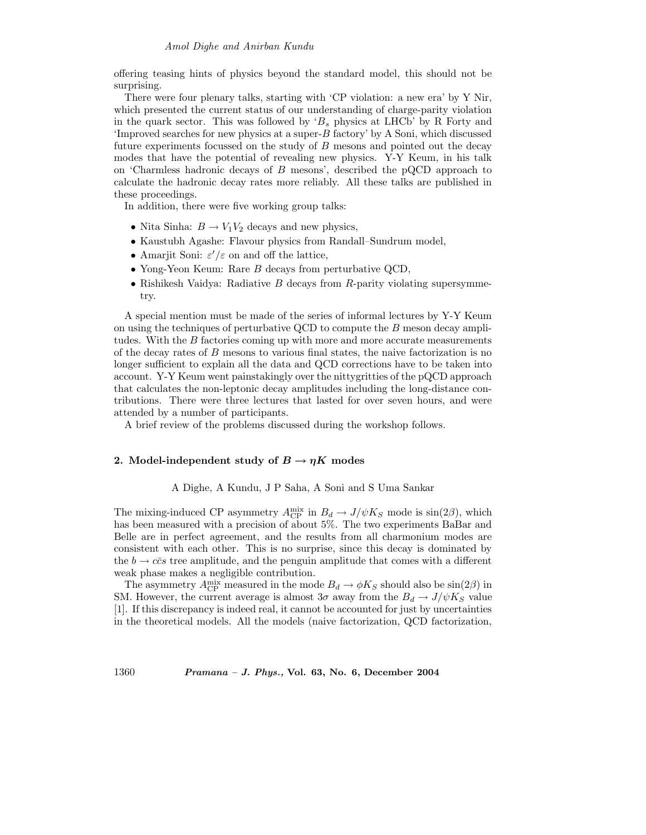offering teasing hints of physics beyond the standard model, this should not be surprising.

There were four plenary talks, starting with 'CP violation: a new era' by Y Nir, which presented the current status of our understanding of charge-parity violation in the quark sector. This was followed by ' $B_s$  physics at LHCb' by R Forty and 'Improved searches for new physics at a super- $B$  factory' by A Soni, which discussed future experiments focussed on the study of  $B$  mesons and pointed out the decay modes that have the potential of revealing new physics. Y-Y Keum, in his talk on 'Charmless hadronic decays of B mesons', described the pQCD approach to calculate the hadronic decay rates more reliably. All these talks are published in these proceedings.

In addition, there were five working group talks:

- Nita Sinha:  $B \to V_1 V_2$  decays and new physics,
- Kaustubh Agashe: Flavour physics from Randall–Sundrum model,
- Amarjit Soni:  $\varepsilon'/\varepsilon$  on and off the lattice,
- Yong-Yeon Keum: Rare B decays from perturbative QCD,
- Rishikesh Vaidya: Radiative  $B$  decays from  $R$ -parity violating supersymmetry.

A special mention must be made of the series of informal lectures by Y-Y Keum on using the techniques of perturbative QCD to compute the  $B$  meson decay amplitudes. With the B factories coming up with more and more accurate measurements of the decay rates of  $B$  mesons to various final states, the naive factorization is no longer sufficient to explain all the data and QCD corrections have to be taken into account. Y-Y Keum went painstakingly over the nittygritties of the pQCD approach that calculates the non-leptonic decay amplitudes including the long-distance contributions. There were three lectures that lasted for over seven hours, and were attended by a number of participants.

A brief review of the problems discussed during the workshop follows.

# 2. Model-independent study of  $B \to \eta K$  modes

# A Dighe, A Kundu, J P Saha, A Soni and S Uma Sankar

The mixing-induced CP asymmetry  $A_{\text{CP}}^{\text{mix}}$  in  $B_d \to J/\psi K_S$  mode is  $\sin(2\beta)$ , which has been measured with a precision of about 5%. The two experiments BaBar and Belle are in perfect agreement, and the results from all charmonium modes are consistent with each other. This is no surprise, since this decay is dominated by the  $b \to c\bar{c}s$  tree amplitude, and the penguin amplitude that comes with a different weak phase makes a negligible contribution.

The asymmetry  $A_{\rm CP}^{\rm mix}$  measured in the mode  $B_d \to \phi K_S$  should also be  $\sin(2\beta)$  in SM. However, the current average is almost  $3\sigma$  away from the  $B_d \to J/\psi K_S$  value [1]. If this discrepancy is indeed real, it cannot be accounted for just by uncertainties in the theoretical models. All the models (naive factorization, QCD factorization,

1360 Pramana – J. Phys., Vol. 63, No. 6, December 2004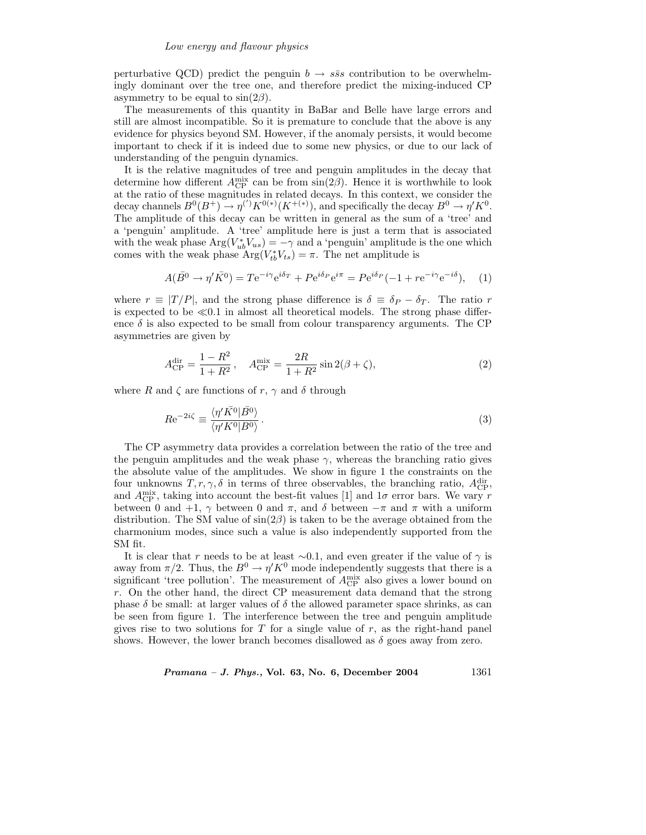perturbative QCD) predict the penguin  $b \rightarrow s\bar{s}s$  contribution to be overwhelmingly dominant over the tree one, and therefore predict the mixing-induced CP asymmetry to be equal to  $sin(2\beta)$ .

The measurements of this quantity in BaBar and Belle have large errors and still are almost incompatible. So it is premature to conclude that the above is any evidence for physics beyond SM. However, if the anomaly persists, it would become important to check if it is indeed due to some new physics, or due to our lack of understanding of the penguin dynamics.

It is the relative magnitudes of tree and penguin amplitudes in the decay that determine how different  $A_{\rm CP}^{\rm mix}$  can be from  $\sin(2\beta)$ . Hence it is worthwhile to look at the ratio of these magnitudes in related decays. In this context, we consider the decay channels  $B^0(B^+) \to \eta^{(')} K^{0(*)}(K^{+(*)})$ , and specifically the decay  $B^0 \to \eta^{'} K^0$ . The amplitude of this decay can be written in general as the sum of a 'tree' and a 'penguin' amplitude. A 'tree' amplitude here is just a term that is associated with the weak phase  $Arg(V_{ub}^*V_{us}) = -\gamma$  and a 'penguin' amplitude is the one which comes with the weak phase  $\text{Arg}(V_{tb}^*V_{ts}) = \pi$ . The net amplitude is

$$
A(\overline{B}^0 \to \eta' \overline{K}^0) = T e^{-i\gamma} e^{i\delta_T} + P e^{i\delta_P} e^{i\pi} = P e^{i\delta_P} (-1 + r e^{-i\gamma} e^{-i\delta}), \quad (1)
$$

where  $r \equiv |T/P|$ , and the strong phase difference is  $\delta \equiv \delta_P - \delta_T$ . The ratio r is expected to be  $\ll 0.1$  in almost all theoretical models. The strong phase difference  $\delta$  is also expected to be small from colour transparency arguments. The CP asymmetries are given by

$$
A_{\rm CP}^{\rm dir} = \frac{1 - R^2}{1 + R^2}, \quad A_{\rm CP}^{\rm mix} = \frac{2R}{1 + R^2} \sin 2(\beta + \zeta), \tag{2}
$$

where R and  $\zeta$  are functions of r,  $\gamma$  and  $\delta$  through

$$
Re^{-2i\zeta} \equiv \frac{\langle \eta' \bar{K^0} | \bar{B^0} \rangle}{\langle \eta' K^0 | B^0 \rangle}.
$$
 (3)

The CP asymmetry data provides a correlation between the ratio of the tree and the penguin amplitudes and the weak phase  $\gamma$ , whereas the branching ratio gives the absolute value of the amplitudes. We show in figure 1 the constraints on the four unknowns  $T, r, \gamma, \delta$  in terms of three observables, the branching ratio,  $A_{\rm CP}^{\rm dir}$ , and  $A_{\rm CP}^{\rm mix}$ , taking into account the best-fit values [1] and  $1\sigma$  error bars. We vary r between 0 and +1,  $\gamma$  between 0 and  $\pi$ , and  $\delta$  between  $-\pi$  and  $\pi$  with a uniform distribution. The SM value of  $\sin(2\beta)$  is taken to be the average obtained from the charmonium modes, since such a value is also independently supported from the SM fit.

It is clear that r needs to be at least  $\sim$ 0.1, and even greater if the value of  $\gamma$  is away from  $\pi/2$ . Thus, the  $B^0 \to \eta' K^0$  mode independently suggests that there is a significant 'tree pollution'. The measurement of  $A_{\rm CP}^{\rm mix}$  also gives a lower bound on  $r$ . On the other hand, the direct CP measurement data demand that the strong phase  $\delta$  be small: at larger values of  $\delta$  the allowed parameter space shrinks, as can be seen from figure 1. The interference between the tree and penguin amplitude gives rise to two solutions for T for a single value of  $r$ , as the right-hand panel shows. However, the lower branch becomes disallowed as  $\delta$  goes away from zero.

 $Pramana - J. Phys., Vol. 63, No. 6, December 2004  $1361$$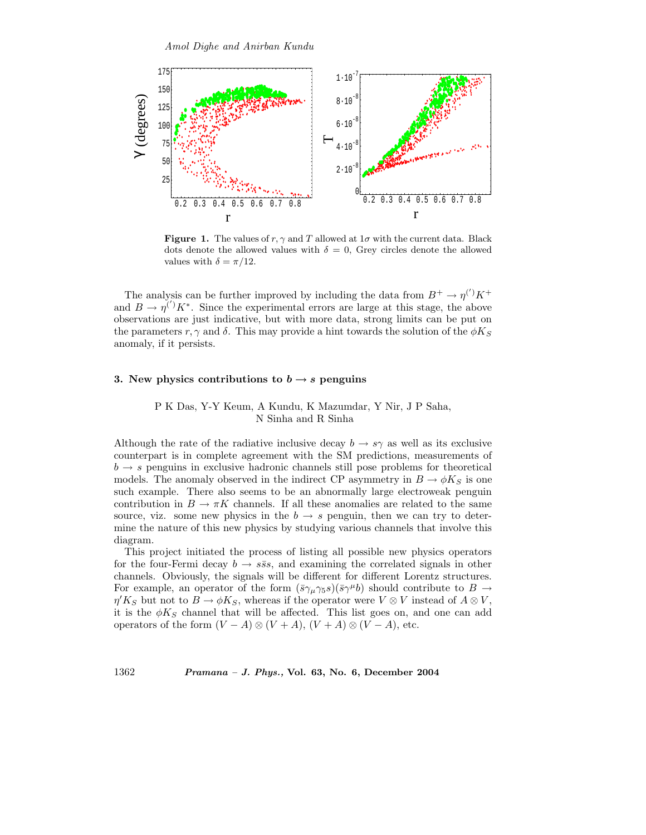

Figure 1. The values of  $r, \gamma$  and T allowed at  $1\sigma$  with the current data. Black dots denote the allowed values with  $\delta = 0$ , Grey circles denote the allowed values with  $\delta = \pi/12$ .

The analysis can be further improved by including the data from  $B^+ \to \eta^{(')} K^+$ and  $B \to \eta^{(')} K^*$ . Since the experimental errors are large at this stage, the above observations are just indicative, but with more data, strong limits can be put on the parameters r,  $\gamma$  and  $\delta$ . This may provide a hint towards the solution of the  $\phi K_S$ anomaly, if it persists.

# 3. New physics contributions to  $b \rightarrow s$  penguins

# P K Das, Y-Y Keum, A Kundu, K Mazumdar, Y Nir, J P Saha, N Sinha and R Sinha

Although the rate of the radiative inclusive decay  $b \to s\gamma$  as well as its exclusive counterpart is in complete agreement with the SM predictions, measurements of  $b \rightarrow s$  penguins in exclusive hadronic channels still pose problems for theoretical models. The anomaly observed in the indirect CP asymmetry in  $B \to \phi K_S$  is one such example. There also seems to be an abnormally large electroweak penguin contribution in  $B \to \pi K$  channels. If all these anomalies are related to the same source, viz. some new physics in the  $b \to s$  penguin, then we can try to determine the nature of this new physics by studying various channels that involve this diagram.

This project initiated the process of listing all possible new physics operators for the four-Fermi decay  $b \to s\bar{s}s$ , and examining the correlated signals in other channels. Obviously, the signals will be different for different Lorentz structures. For example, an operator of the form  $(\bar{s}\gamma_\mu\gamma_5 s)(\bar{s}\gamma^\mu b)$  should contribute to  $B \to$  $\eta' K_S$  but not to  $B \to \phi K_S$ , whereas if the operator were  $V \otimes V$  instead of  $A \otimes V$ , it is the  $\phi K_S$  channel that will be affected. This list goes on, and one can add operators of the form  $(V - A) \otimes (V + A)$ ,  $(V + A) \otimes (V - A)$ , etc.

1362 Pramana – J. Phys., Vol. 63, No. 6, December 2004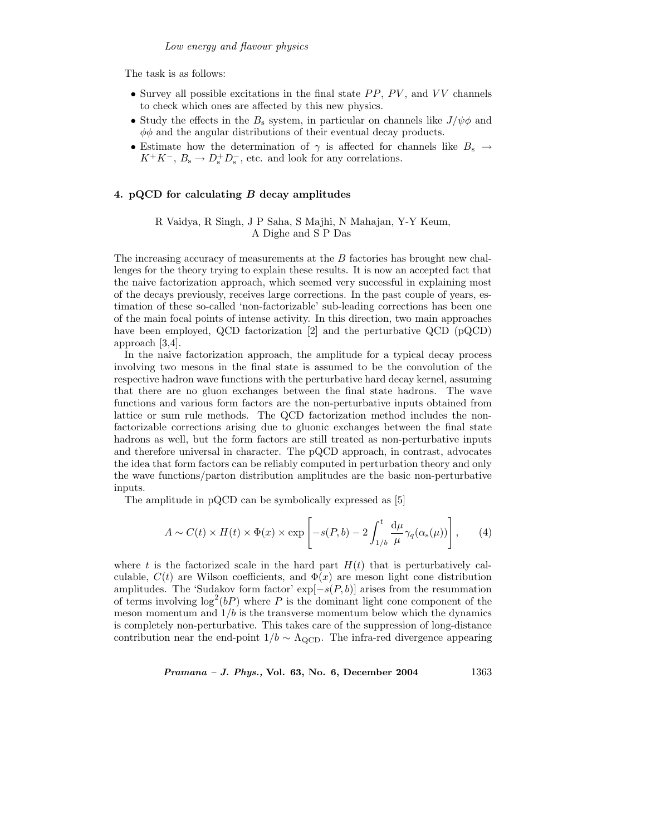The task is as follows:

- Survey all possible excitations in the final state  $PP$ ,  $PV$ , and  $VV$  channels to check which ones are affected by this new physics.
- Study the effects in the  $B_s$  system, in particular on channels like  $J/\psi \phi$  and  $\phi\phi$  and the angular distributions of their eventual decay products.
- Estimate how the determination of  $\gamma$  is affected for channels like  $B_s \to$  $K^+K^-$ ,  $B_s \to D_s^+D_s^-$ , etc. and look for any correlations.

#### 4. pQCD for calculating B decay amplitudes

R Vaidya, R Singh, J P Saha, S Majhi, N Mahajan, Y-Y Keum, A Dighe and S P Das

The increasing accuracy of measurements at the B factories has brought new challenges for the theory trying to explain these results. It is now an accepted fact that the naive factorization approach, which seemed very successful in explaining most of the decays previously, receives large corrections. In the past couple of years, estimation of these so-called 'non-factorizable' sub-leading corrections has been one of the main focal points of intense activity. In this direction, two main approaches have been employed, QCD factorization [2] and the perturbative QCD (pQCD) approach [3,4].

In the naive factorization approach, the amplitude for a typical decay process involving two mesons in the final state is assumed to be the convolution of the respective hadron wave functions with the perturbative hard decay kernel, assuming that there are no gluon exchanges between the final state hadrons. The wave functions and various form factors are the non-perturbative inputs obtained from lattice or sum rule methods. The QCD factorization method includes the nonfactorizable corrections arising due to gluonic exchanges between the final state hadrons as well, but the form factors are still treated as non-perturbative inputs and therefore universal in character. The pQCD approach, in contrast, advocates the idea that form factors can be reliably computed in perturbation theory and only the wave functions/parton distribution amplitudes are the basic non-perturbative inputs.

The amplitude in pQCD can be symbolically expressed as [5]

$$
A \sim C(t) \times H(t) \times \Phi(x) \times \exp\left[-s(P, b) - 2 \int_{1/b}^{t} \frac{d\mu}{\mu} \gamma_q(\alpha_s(\mu))\right], \qquad (4)
$$

where t is the factorized scale in the hard part  $H(t)$  that is perturbatively calculable,  $C(t)$  are Wilson coefficients, and  $\Phi(x)$  are meson light cone distribution amplitudes. The 'Sudakov form factor'  $\exp[-s(P, b)]$  arises from the resummation of terms involving  $\log^2(bP)$  where P is the dominant light cone component of the meson momentum and  $1/b$  is the transverse momentum below which the dynamics is completely non-perturbative. This takes care of the suppression of long-distance contribution near the end-point  $1/b \sim \Lambda_{\rm QCD}$ . The infra-red divergence appearing

 $Pramana - J. Phys., Vol. 63, No. 6, December 2004  $1363$$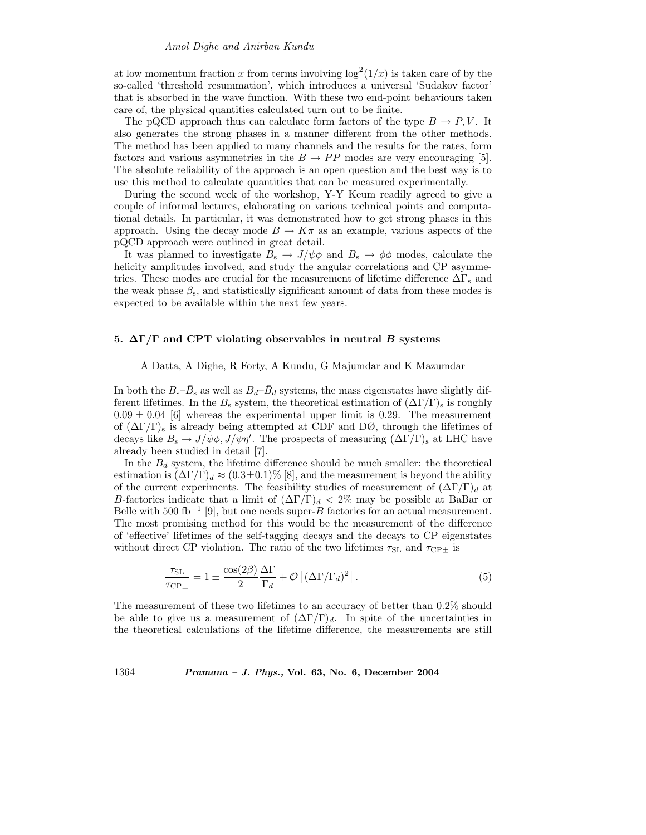at low momentum fraction x from terms involving  $\log^2(1/x)$  is taken care of by the so-called 'threshold resummation', which introduces a universal 'Sudakov factor' that is absorbed in the wave function. With these two end-point behaviours taken care of, the physical quantities calculated turn out to be finite.

The pQCD approach thus can calculate form factors of the type  $B \to P, V$ . It also generates the strong phases in a manner different from the other methods. The method has been applied to many channels and the results for the rates, form factors and various asymmetries in the  $B \to PP$  modes are very encouraging [5]. The absolute reliability of the approach is an open question and the best way is to use this method to calculate quantities that can be measured experimentally.

During the second week of the workshop, Y-Y Keum readily agreed to give a couple of informal lectures, elaborating on various technical points and computational details. In particular, it was demonstrated how to get strong phases in this approach. Using the decay mode  $B \to K\pi$  as an example, various aspects of the pQCD approach were outlined in great detail.

It was planned to investigate  $B_s \to J/\psi \phi$  and  $B_s \to \phi \phi$  modes, calculate the helicity amplitudes involved, and study the angular correlations and CP asymmetries. These modes are crucial for the measurement of lifetime difference  $\Delta\Gamma_s$  and the weak phase  $\beta_s$ , and statistically significant amount of data from these modes is expected to be available within the next few years.

#### 5.  $\Delta\Gamma/\Gamma$  and CPT violating observables in neutral B systems

## A Datta, A Dighe, R Forty, A Kundu, G Majumdar and K Mazumdar

In both the  $B_s-\bar{B}_s$  as well as  $B_d-\bar{B}_d$  systems, the mass eigenstates have slightly different lifetimes. In the  $B_s$  system, the theoretical estimation of  $(\Delta \Gamma/\Gamma)_s$  is roughly  $0.09 \pm 0.04$  [6] whereas the experimental upper limit is 0.29. The measurement of  $(\Delta \Gamma/\Gamma)$ <sub>s</sub> is already being attempted at CDF and DØ, through the lifetimes of decays like  $B_s \to J/\psi \phi, J/\psi \eta'$ . The prospects of measuring  $(\Delta \Gamma/\Gamma)_s$  at LHC have already been studied in detail [7].

In the  $B_d$  system, the lifetime difference should be much smaller: the theoretical estimation is  $(\Delta \Gamma/\Gamma)_d \approx (0.3 \pm 0.1)\%$  [8], and the measurement is beyond the ability of the current experiments. The feasibility studies of measurement of  $(\Delta\Gamma/\Gamma)_d$  at B-factories indicate that a limit of  $(\Delta \Gamma/\Gamma)_d < 2\%$  may be possible at BaBar or Belle with 500 fb<sup>-1</sup> [9], but one needs super- $\overrightarrow{B}$  factories for an actual measurement. The most promising method for this would be the measurement of the difference of 'effective' lifetimes of the self-tagging decays and the decays to CP eigenstates without direct CP violation. The ratio of the two lifetimes  $\tau_{SL}$  and  $\tau_{CP\pm}$  is

$$
\frac{\tau_{\rm SL}}{\tau_{\rm CP\pm}} = 1 \pm \frac{\cos(2\beta)}{2} \frac{\Delta \Gamma}{\Gamma_d} + \mathcal{O}\left[ (\Delta \Gamma / \Gamma_d)^2 \right]. \tag{5}
$$

The measurement of these two lifetimes to an accuracy of better than 0.2% should be able to give us a measurement of  $(\Delta \Gamma/\Gamma)_d$ . In spite of the uncertainties in the theoretical calculations of the lifetime difference, the measurements are still

# 1364 Pramana – J. Phys., Vol. 63, No. 6, December 2004